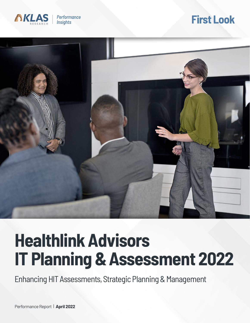

## **First Look**



# **Healthlink Advisors IT Planning & Assessment 2022**

Enhancing HIT Assessments, Strategic Planning & Management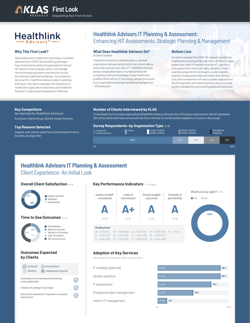## **Healthlink**

#### **Why This First Look?**

Rapid advances in healthcare technology, increased demand from COVID-19, and staffing shortages have stretched the ability of organizations' internal HIT teams to find, evaluate, select, and manage new technological systems and services across the evolving healthcare landscape. As an advisory services firm, Healthlink Advisors seeks to address that issue. This report evaluates the experience of healthcare organizations that have used Healthlink Advisors' IT planning and assessment offerings.

## **Healthlink Advisors IT Planning & Assessment:** Enhancing HIT Assessments, Strategic Planning & Management

#### **What Does Healthlink Advisors Do?** (A Client Explains)

*"Healthlink Advisors is a diverse advisory services organization that specializes both in the clinical side as well as the revenue cycle side of IT. Healthlink Advisors brings a longitudinal history of understanding the consulting world and knowledge of deep healthcare problems from both an IT technology perspective as well as an organizational change management perspective."*  —CIO/executive

#### **Bottom Line**

As clients navigate the COVID-19-impacted world and healthcare's evolving landscape that is shifting to valuebased care, most of Healthlink Advisors' IT planning and assessment clients are highly satisfied. Clients routinely praise the firm's integrity, customizability, and lack of sales pushiness and nickel-and-diming. Executive involvement will need scalable adaptation to the firm's growth, and clients express a key to success is early transparency surrounding expected outcomes.

#### **Key Competitors**

(as reported by Healthlink Advisors) Accenture, Chartis Group, Deloitte, Impact Advisors

#### **Top Reasons Selected**

Integrity, puts clients' needs first, historical performance, founders, boutique feel

#### **Number of Clients Interviewed by KLAS**

9 individuals from 9 unique organizations (Healthlink Advisors shared a list of 18 unique organizations; the list represents 20% of the clients that have worked with the firm in the last 12 months and are eligible for inclusion in this study)



## Client Experience: An Initial Look **Healthlink Advisors IT Planning & Assessment**

#### **Overall Client Satisfaction** (n=9)



and vendors

#### **Key Performance Indicators** (1–9 scale)







#### **Adoption of Key Services**

Percentage of interviewed clients using services

Interim IT management IT strategic planning Vendor selection Program/project management IT assessment

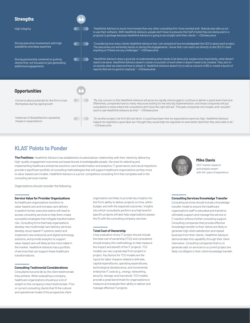| <b>Strengths</b>                                                                                                  |                                                                                                                                                                                                                                                                                                                                                                                                                                                   |
|-------------------------------------------------------------------------------------------------------------------|---------------------------------------------------------------------------------------------------------------------------------------------------------------------------------------------------------------------------------------------------------------------------------------------------------------------------------------------------------------------------------------------------------------------------------------------------|
| High integrity                                                                                                    | "Healthlink Advisors is much more honest than any other consulting firm I have worked with. Nobody else tells us not<br>to use their software. With Healthlink Advisors, people don't have to presume that half of what they are being sold in a<br>proposal is garbage because Healthlink Advisors is going to be straight with their clients." - CIO/executive                                                                                  |
| Strong executive involvement with high<br>availability and deep expertise                                         | "Considering how many clients Healthlink Advisors has, I am amazed at how knowledgeable the CEO is about each project.<br>The executives are extremely hands on during the engagements. I know that I can reach out directly to the CEO if I need<br>anything or if there are any challenges." - CIO/executive                                                                                                                                    |
| Strong partnership centered on putting<br>clients first; not focused on just generating<br>additional engagements | "Healthlink Advisors does a good job of understanding what needs to be done and, maybe more importantly, what doesn't<br>need to be done. Healthlink Advisors doesn't create a mountain of work when it doesn't need to be created. They zero in<br>on exactly what we need and how to attack it. Healthlink Advisors doesn't try to sell us a bunch of BS or create a bunch of<br>reports that are no good to anybody." - CIO/executive          |
|                                                                                                                   |                                                                                                                                                                                                                                                                                                                                                                                                                                                   |
| <b>Opportunities</b>                                                                                              |                                                                                                                                                                                                                                                                                                                                                                                                                                                   |
| Concerns about potential for the firm to lose<br>themselves during rapid growth                                   | "My only concern is that Healthlink Advisors will grow too rapidly and struggle to continue to deliver a great level of service.<br>Oftentimes, companies have so many resources waiting for the next big implementation, and those companies will put<br>consultants in areas where the consultants don't have the right skill set. That gets companies into trouble, and I wouldn't<br>want to see Healthlink Advisors do that." -CIO/executive |
| Instances of dissatisfaction caused by                                                                            | "On another project, the firm fell a bit short. It could have been that my expectations were too high. Healthlink Advisors                                                                                                                                                                                                                                                                                                                        |

## **KLAS' Points to Ponder**

misses in expectations

**The Positives:** Healthlink Advisors has established a trusted advisor relationship with their clients by delivering<br>high and increased a trusted and the probability of the contract of continental and the contract of the c high-quality engagement outcomes and experienced, knowledgeable people. Services for selecting and implementing healthcare enterprise solutions, care transformation and analytics, IT governance, and cloud migrations provide a significant portfolio of consulting methodologies that will support healthcare organizations as they move to value-based care models. Healthlink Advisors is a price-competitive consulting firm that competes well in the consulting services market.

—CIO/executive

Organizations should consider the following:

#### **Service Value for Provider Organizations**

As healthcare organizations transition to value-based care and increase care delivery in patient homes, executive teams will need to access consulting services to help them create successful strategies that mitigate transformation risk. Consulting firms that help organizations develop new multimodal care delivery services, develop cloud-based IT systems, select and implement new enterprise and digital technology solutions, and provide analytics to support value-based care will likely be the most viable in the market. Healthlink Advisors has a portfolio of services that can support these healthcare transformations.

#### **Consulting Testimonial Considerations**

Consultants live and die by the client testimonials they achieve. When evaluating a company, healthcare organizations should put a lot of weight on the company's client testimonials. Prior or current consulting clients that fit the cultural and operational model of the prospective client

organization are likely to provide key insights into the firm's ability to deliver projects on time, within budget, and with the expected outcomes. Insights into which consultants perform at a high level for specific projects will also help organizations assess the fit with the consulting company services.

#### **Total Cost of Ownership**

A key evaluation of any IT project should include the total cost of ownership (TCO), and consultants should employ this methodology to help measure the impact and benefit of the IT projects. TCO models can vary a great deal from project to project. Key factors for TCO models are the inputs for labor impacts related to skill sets, capital expenditures, operating expenditures, technological obsolescence, and incremental enterprise IT costs (e.g., energy, networking, security, storage, and insurance). TCO models provide a great benchmark for organizations to measure and evaluate their ability to deliver and manage effective IT projects.



*helped me negotiate a good deal, but I thought they would help me negotiate an even better deal than they were able to do."* 

HCIT market research and analysis expert with 40+ years of experience

#### **Consulting Services Knowledge Transfer**

Consulting services should include a knowledgetransfer model to ensure the healthcare organization's staff is educated and trained to ultimately support and manage the service or IT solution without further consulting support. Consulting companies that provide effective knowledge transfer to their clients are likely to generate high client satisfaction and repeat business from their clients. Healthlink Advisors demonstrates this capability through their client interviews. Consulting companies that try to generate add-on services to a current project are likely not diligent in their client knowledge transfer.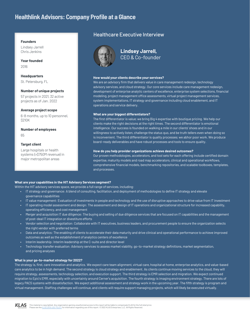## **Healthlink Advisors: Company Profile at a Glance**

#### **Founders**

Lindsey Jarrell Chris Jenkins

#### **Year founded**

2016

**Headquarters** St. Petersburg, FL

#### **Number of unique projects**

57 projects in 2021, 32 active projects as of Jan. 2022

#### **Average project scope**

6-8 months, up to 10 personnel, \$210K

**Number of employees** 65

#### **Target client**

Large hospitals or health systems (>\$750M revenue) in major metropolitan areas

### Healthcare Executive Interview



### **Lindsey Jarrell,** CEO & Co-founder

#### **How would your clients describe your services?**

We are an advisory firm that delivers value in care management redesign, technology advisory services, and cloud strategy. Our core services include care management redesign, development of enterprise analytic centers of excellence, enterprise system selections, financial modeling, project management office assessments, virtual project management services, system implementations, IT strategy and governance including cloud enablement, and IT operations and service delivery.

#### **What are your biggest differentiators?**

The first differentiator is value; we bring Big 4 expertise with boutique pricing. We help our clients make the right decisions at the right times. The second differentiator is emotional intelligence. Our success is founded on walking a mile in our clients' shoes and in our willingness to actively listen, challenge the status quo, and be truth tellers even when doing so is inconvenient. The third differentiator is quality processes; we abhor poor work. We produce board-ready deliverables and have robust processes and tools to ensure quality.

#### **How do you help provider organizations achieve desired outcomes?**

Our proven methodologies, accelerators, and tool sets for each offering include certified domain expertise, maturity models and road map accelerators, clinical and operational workflows, comprehensive financial models, benchmarking repositories, and scalable toolboxes, templates, and processes.

#### **What are your capabilities in the HIT Advisory Services segment?**

Within the HIT advisory services space, we provide a full range of services, including:

- IT strategy and governance: A blend of consulting, facilitation, and deployment of methodologies to define IT strategy and elevate governance capabilities
- IT value management: Evaluation of investments in people and technology and the use of disruptive approaches to drive value from IT investment
- IT operating model assessment and design: The assessment and design of IT operations and organizational structure for increased capability, operating efficiency, and cost management
- Merger and acquisition IT due diligence: The buying and selling of due diligence services that are focused on IT capabilities and the management of post-deal IT integration or divestiture efforts
- Vendor selection and negotiation: Collaborate with IT executives, business leaders, and procurement people to ensure the organization selects the right vendor with preferred terms
- Data and analytics: The enabling of clients to accelerate their data maturity and drive clinical and operational performance to achieve improved outcomes as well as the establishment of analytics centers of excellence
- Interim leadership: Interim leadership at the C-suite and director level
- Technology transfer evaluation: Advisory services to assess market viability, go-to-market strategy definitions, market segmentation, and pricing analyses

#### **What is your go-to-market strategy for 2022?**

The strategy is, first, care innovation and analytics. We expect care team alignment, virtual care, hospital at home, enterprise analytics, and value-based care analytics to be in high demand. The second strategy is cloud strategy and enablement. As clients continue moving services to the cloud, they will require strategy, assessments, technology selection, and execution support. The third strategy is EMR selection and migration. We expect continued migration to Epic's EMR, especially with uncertainty around Cerner's acquisition. The fourth strategy is imaging environment strategy. There are lots of legacy PACS systems with dissatisfaction. We expect additional assessment and strategy work in the upcoming year. The fifth strategy is program and virtual management. Staffing challenges will continue, and clients will require support managing projects, which will likely be executed virtually.